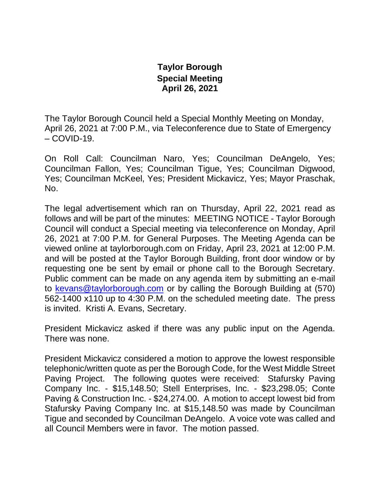## **Taylor Borough Special Meeting April 26, 2021**

The Taylor Borough Council held a Special Monthly Meeting on Monday, April 26, 2021 at 7:00 P.M., via Teleconference due to State of Emergency  $-COVID-19.$ 

On Roll Call: Councilman Naro, Yes; Councilman DeAngelo, Yes; Councilman Fallon, Yes; Councilman Tigue, Yes; Councilman Digwood, Yes; Councilman McKeel, Yes; President Mickavicz, Yes; Mayor Praschak, No.

The legal advertisement which ran on Thursday, April 22, 2021 read as follows and will be part of the minutes: MEETING NOTICE - Taylor Borough Council will conduct a Special meeting via teleconference on Monday, April 26, 2021 at 7:00 P.M. for General Purposes. The Meeting Agenda can be viewed online at taylorborough.com on Friday, April 23, 2021 at 12:00 P.M. and will be posted at the Taylor Borough Building, front door window or by requesting one be sent by email or phone call to the Borough Secretary. Public comment can be made on any agenda item by submitting an e-mail to [kevans@taylorborough.com](mailto:kevans@taylorborough.com) or by calling the Borough Building at (570) 562-1400 x110 up to 4:30 P.M. on the scheduled meeting date. The press is invited. Kristi A. Evans, Secretary.

President Mickavicz asked if there was any public input on the Agenda. There was none.

President Mickavicz considered a motion to approve the lowest responsible telephonic/written quote as per the Borough Code, for the West Middle Street Paving Project. The following quotes were received: Stafursky Paving Company Inc. - \$15,148.50; Stell Enterprises, Inc. - \$23,298.05; Conte Paving & Construction Inc. - \$24,274.00. A motion to accept lowest bid from Stafursky Paving Company Inc. at \$15,148.50 was made by Councilman Tigue and seconded by Councilman DeAngelo. A voice vote was called and all Council Members were in favor. The motion passed.